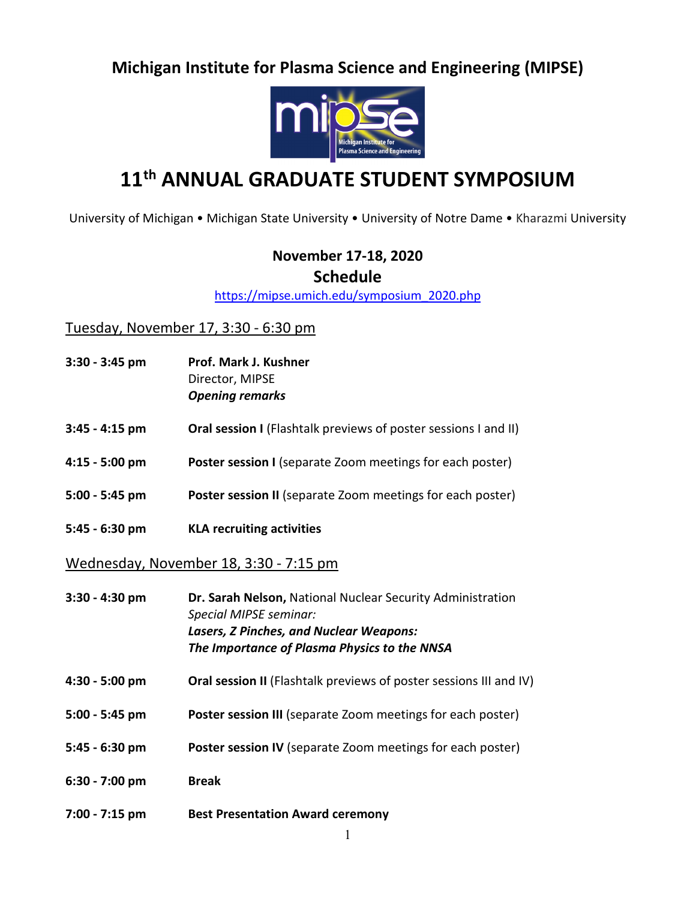## **Michigan Institute for Plasma Science and Engineering (MIPSE)**



# **11th ANNUAL GRADUATE STUDENT SYMPOSIUM**

University of Michigan • Michigan State University • University of Notre Dame • Kharazmi University

### **November 17-18, 2020**

#### **Schedule**

[https://mipse.umich.edu/symposium\\_2020.php](https://mipse.umich.edu/symposium_2020.php)

#### Tuesday, November 17, 3:30 - 6:30 pm

- **3:30 - 3:45 pm Prof. Mark J. Kushner** Director, MIPSE *Opening remarks*
- **3:45 - 4:15 pm Oral session I** (Flashtalk previews of poster sessions I and II)
- **4:15 - 5:00 pm Poster session I** (separate Zoom meetings for each poster)
- **5:00 - 5:45 pm Poster session II** (separate Zoom meetings for each poster)
- **5:45 - 6:30 pm KLA recruiting activities**

Wednesday, November 18, 3:30 - 7:15 pm

- **3:30 - 4:30 pm Dr. Sarah Nelson,** National Nuclear Security Administration *Special MIPSE seminar: Lasers, Z Pinches, and Nuclear Weapons: The Importance of Plasma Physics to the NNSA*
- **4:30 - 5:00 pm Oral session II** (Flashtalk previews of poster sessions III and IV)
- **5:00 - 5:45 pm Poster session III** (separate Zoom meetings for each poster)
- **5:45 - 6:30 pm Poster session IV** (separate Zoom meetings for each poster)
- **6:30 - 7:00 pm Break**
- **7:00 - 7:15 pm Best Presentation Award ceremony**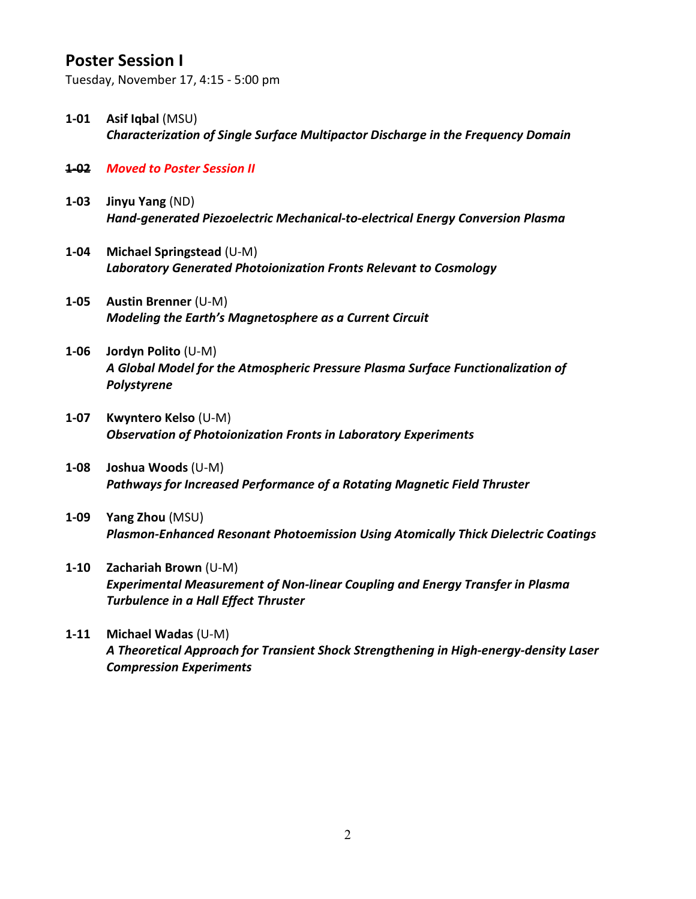### **Poster Session I**

Tuesday, November 17, 4:15 - 5:00 pm

- **1-01 Asif Iqbal** (MSU) *Characterization of Single Surface Multipactor Discharge in the Frequency Domain*
- **1-02** *Moved to Poster Session II*
- **1-03 Jinyu Yang** (ND) *Hand-generated Piezoelectric Mechanical-to-electrical Energy Conversion Plasma*
- **1-04 Michael Springstead** (U-M) *Laboratory Generated Photoionization Fronts Relevant to Cosmology*
- **1-05 Austin Brenner** (U-M) *Modeling the Earth's Magnetosphere as a Current Circuit*
- **1-06 Jordyn Polito** (U-M) *A Global Model for the Atmospheric Pressure Plasma Surface Functionalization of Polystyrene*
- **1-07 Kwyntero Kelso** (U-M) *Observation of Photoionization Fronts in Laboratory Experiments*
- **1-08 Joshua Woods** (U-M) *Pathways for Increased Performance of a Rotating Magnetic Field Thruster*
- **1-09 Yang Zhou** (MSU) *Plasmon-Enhanced Resonant Photoemission Using Atomically Thick Dielectric Coatings*
- **1-10 Zachariah Brown** (U-M) *Experimental Measurement of Non-linear Coupling and Energy Transfer in Plasma Turbulence in a Hall Effect Thruster*
- **1-11 Michael Wadas** (U-M) *A Theoretical Approach for Transient Shock Strengthening in High-energy-density Laser Compression Experiments*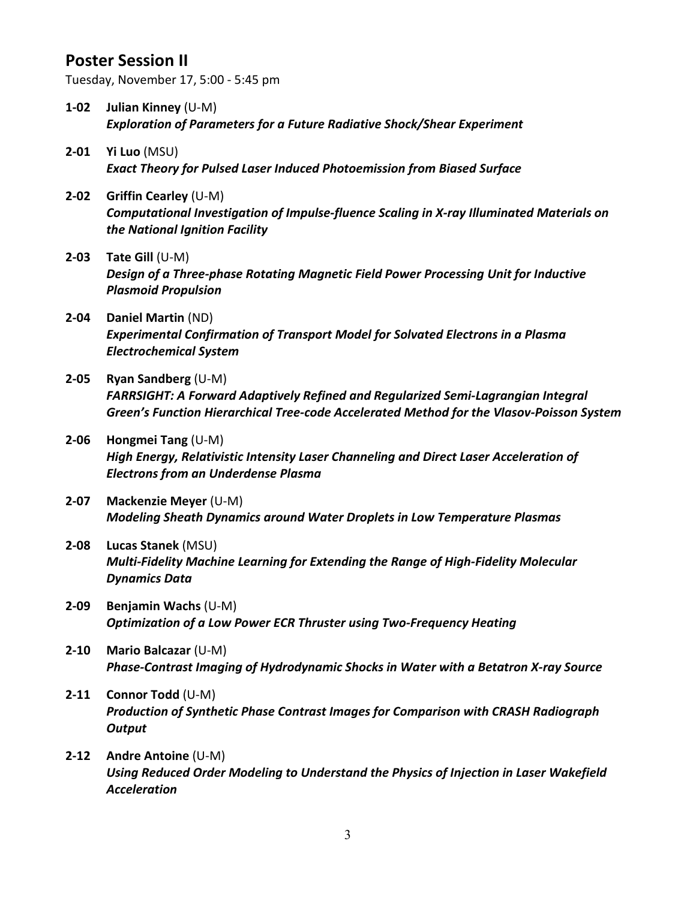### **Poster Session II**

Tuesday, November 17, 5:00 - 5:45 pm

- **1-02 Julian Kinney** (U-M) *Exploration of Parameters for a Future Radiative Shock/Shear Experiment*
- **2-01 Yi Luo** (MSU) *Exact Theory for Pulsed Laser Induced Photoemission from Biased Surface*
- **2-02 Griffin Cearley** (U-M) *Computational Investigation of Impulse-fluence Scaling in X-ray Illuminated Materials on the National Ignition Facility*
- **2-03 Tate Gill** (U-M) *Design of a Three-phase Rotating Magnetic Field Power Processing Unit for Inductive Plasmoid Propulsion*
- **2-04 Daniel Martin** (ND) *Experimental Confirmation of Transport Model for Solvated Electrons in a Plasma Electrochemical System*
- **2-05 Ryan Sandberg** (U-M) *FARRSIGHT: A Forward Adaptively Refined and Regularized Semi-Lagrangian Integral Green's Function Hierarchical Tree-code Accelerated Method for the Vlasov-Poisson System*
- **2-06 Hongmei Tang** (U-M) *High Energy, Relativistic Intensity Laser Channeling and Direct Laser Acceleration of Electrons from an Underdense Plasma*
- **2-07 Mackenzie Meyer** (U-M) *Modeling Sheath Dynamics around Water Droplets in Low Temperature Plasmas*
- **2-08 Lucas Stanek** (MSU) *Multi-Fidelity Machine Learning for Extending the Range of High-Fidelity Molecular Dynamics Data*
- **2-09 Benjamin Wachs** (U-M) *Optimization of a Low Power ECR Thruster using Two-Frequency Heating*
- **2-10 Mario Balcazar** (U-M) *Phase-Contrast Imaging of Hydrodynamic Shocks in Water with a Betatron X-ray Source*
- **2-11 Connor Todd** (U-M) *Production of Synthetic Phase Contrast Images for Comparison with CRASH Radiograph Output*
- **2-12 Andre Antoine** (U-M) *Using Reduced Order Modeling to Understand the Physics of Injection in Laser Wakefield Acceleration*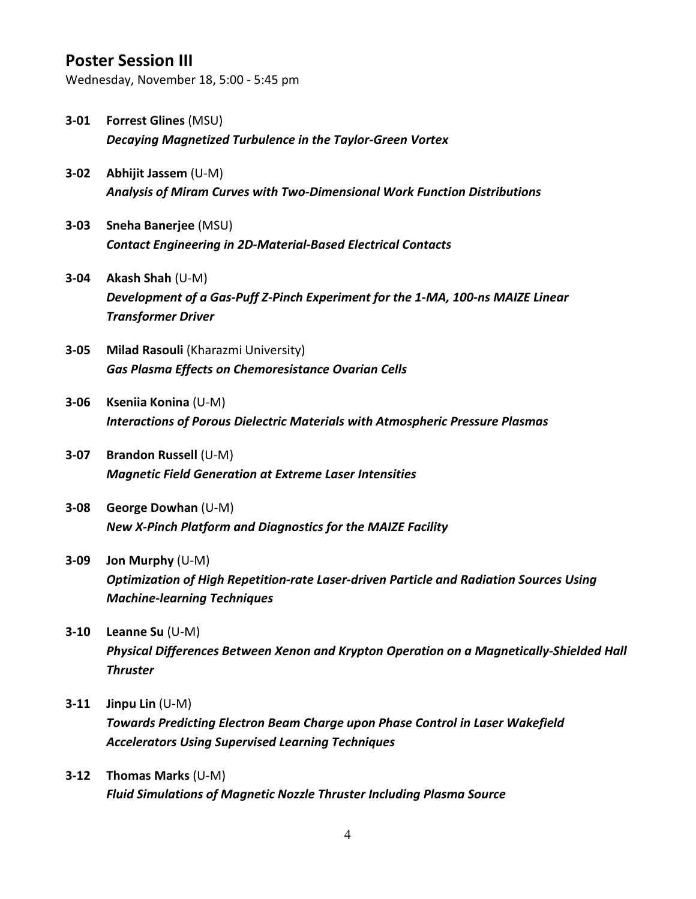### **Poster Session III**

Wednesday, November 18, 5:00 - 5:45 pm

- **3-01 Forrest Glines** (MSU) *Decaying Magnetized Turbulence in the Taylor-Green Vortex*
- **3-02 Abhijit Jassem** (U-M) *Analysis of Miram Curves with Two-Dimensional Work Function Distributions*
- **3-03 Sneha Banerjee** (MSU) *Contact Engineering in 2D-Material-Based Electrical Contacts*
- **3-04 Akash Shah** (U-M) *Development of a Gas-Puff Z-Pinch Experiment for the 1-MA, 100-ns MAIZE Linear Transformer Driver*
- **3-05 Milad Rasouli** (Kharazmi University) *Gas Plasma Effects on Chemoresistance Ovarian Cells*
- **3-06 Kseniia Konina** (U-M) *Interactions of Porous Dielectric Materials with Atmospheric Pressure Plasmas*
- **3-07 Brandon Russell** (U-M) *Magnetic Field Generation at Extreme Laser Intensities*
- **3-08 George Dowhan** (U-M) *New X-Pinch Platform and Diagnostics for the MAIZE Facility*
- **3-09 Jon Murphy** (U-M) *Optimization of High Repetition-rate Laser-driven Particle and Radiation Sources Using Machine-learning Techniques*
- **3-10 Leanne Su** (U-M) *Physical Differences Between Xenon and Krypton Operation on a Magnetically-Shielded Hall Thruster*
- **3-11 Jinpu Lin** (U-M) *Towards Predicting Electron Beam Charge upon Phase Control in Laser Wakefield Accelerators Using Supervised Learning Techniques*
- **3-12 Thomas Marks** (U-M) *Fluid Simulations of Magnetic Nozzle Thruster Including Plasma Source*